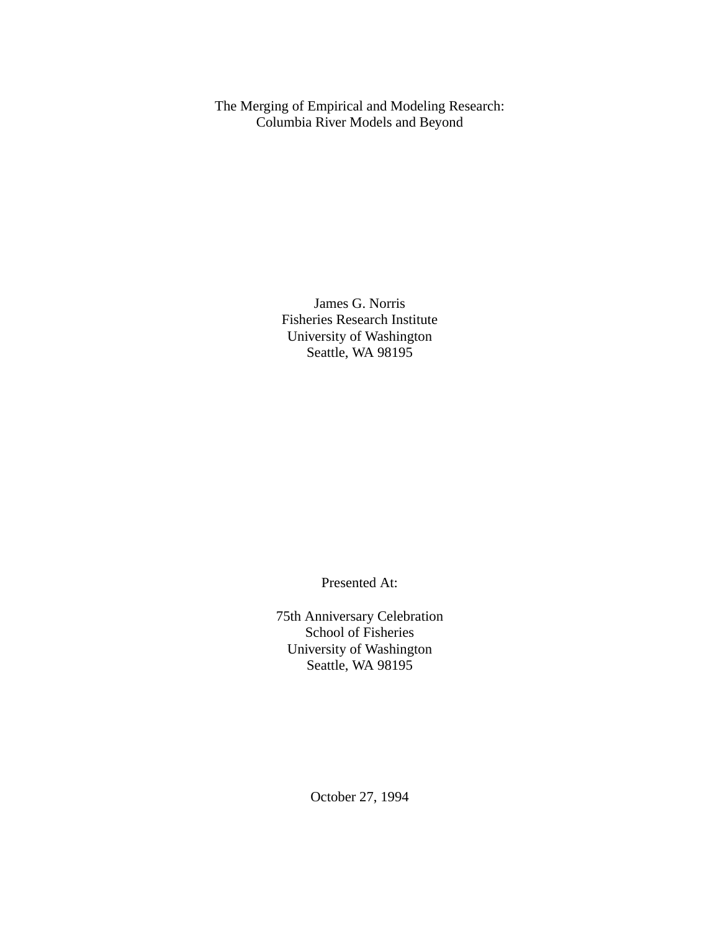The Merging of Empirical and Modeling Research: Columbia River Models and Beyond

> James G. Norris Fisheries Research Institute University of Washington Seattle, WA 98195

> > Presented At:

75th Anniversary Celebration School of Fisheries University of Washington Seattle, WA 98195

October 27, 1994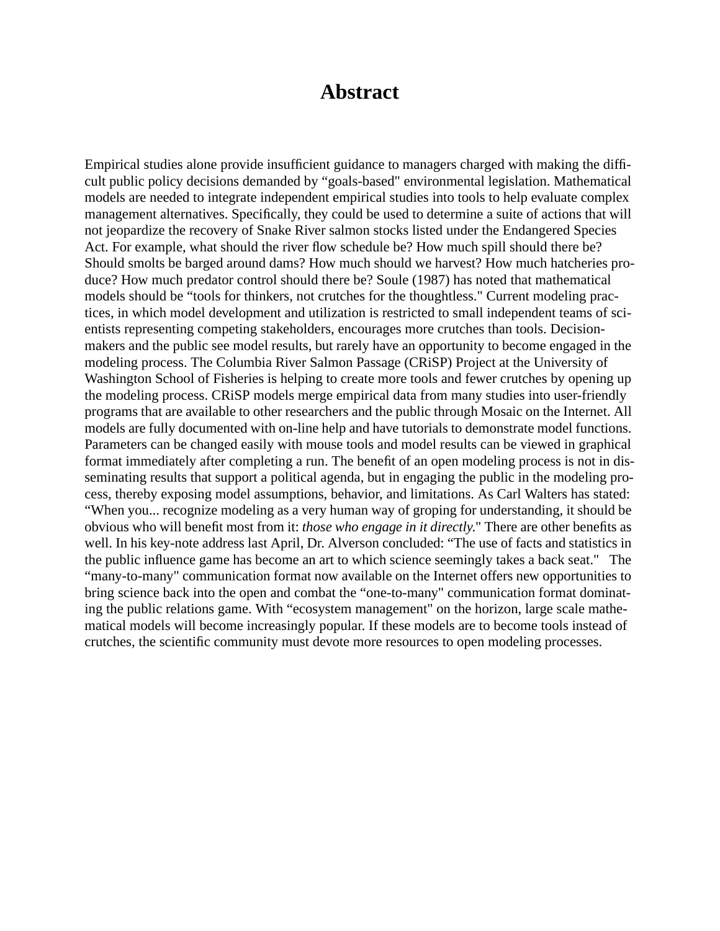## **Abstract**

Empirical studies alone provide insufficient guidance to managers charged with making the difficult public policy decisions demanded by "goals-based" environmental legislation. Mathematical models are needed to integrate independent empirical studies into tools to help evaluate complex management alternatives. Specifically, they could be used to determine a suite of actions that will not jeopardize the recovery of Snake River salmon stocks listed under the Endangered Species Act. For example, what should the river flow schedule be? How much spill should there be? Should smolts be barged around dams? How much should we harvest? How much hatcheries produce? How much predator control should there be? Soule (1987) has noted that mathematical models should be "tools for thinkers, not crutches for the thoughtless." Current modeling practices, in which model development and utilization is restricted to small independent teams of scientists representing competing stakeholders, encourages more crutches than tools. Decisionmakers and the public see model results, but rarely have an opportunity to become engaged in the modeling process. The Columbia River Salmon Passage (CRiSP) Project at the University of Washington School of Fisheries is helping to create more tools and fewer crutches by opening up the modeling process. CRiSP models merge empirical data from many studies into user-friendly programs that are available to other researchers and the public through Mosaic on the Internet. All models are fully documented with on-line help and have tutorials to demonstrate model functions. Parameters can be changed easily with mouse tools and model results can be viewed in graphical format immediately after completing a run. The benefit of an open modeling process is not in disseminating results that support a political agenda, but in engaging the public in the modeling process, thereby exposing model assumptions, behavior, and limitations. As Carl Walters has stated: "When you... recognize modeling as a very human way of groping for understanding, it should be obvious who will benefit most from it: *those who engage in it directly*." There are other benefits as well. In his key-note address last April, Dr. Alverson concluded: "The use of facts and statistics in the public influence game has become an art to which science seemingly takes a back seat." The "many-to-many" communication format now available on the Internet offers new opportunities to bring science back into the open and combat the "one-to-many" communication format dominating the public relations game. With "ecosystem management" on the horizon, large scale mathematical models will become increasingly popular. If these models are to become tools instead of crutches, the scientific community must devote more resources to open modeling processes.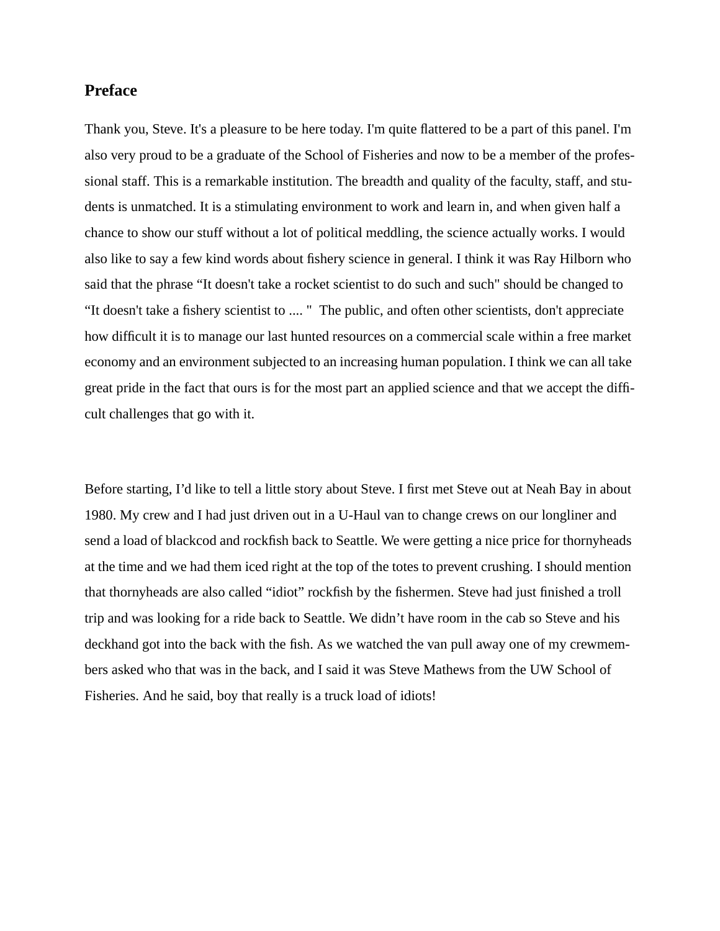## **Preface**

Thank you, Steve. It's a pleasure to be here today. I'm quite flattered to be a part of this panel. I'm also very proud to be a graduate of the School of Fisheries and now to be a member of the professional staff. This is a remarkable institution. The breadth and quality of the faculty, staff, and students is unmatched. It is a stimulating environment to work and learn in, and when given half a chance to show our stuff without a lot of political meddling, the science actually works. I would also like to say a few kind words about fishery science in general. I think it was Ray Hilborn who said that the phrase "It doesn't take a rocket scientist to do such and such" should be changed to "It doesn't take a fishery scientist to .... " The public, and often other scientists, don't appreciate how difficult it is to manage our last hunted resources on a commercial scale within a free market economy and an environment subjected to an increasing human population. I think we can all take great pride in the fact that ours is for the most part an applied science and that we accept the difficult challenges that go with it.

Before starting, I'd like to tell a little story about Steve. I first met Steve out at Neah Bay in about 1980. My crew and I had just driven out in a U-Haul van to change crews on our longliner and send a load of blackcod and rockfish back to Seattle. We were getting a nice price for thornyheads at the time and we had them iced right at the top of the totes to prevent crushing. I should mention that thornyheads are also called "idiot" rockfish by the fishermen. Steve had just finished a troll trip and was looking for a ride back to Seattle. We didn't have room in the cab so Steve and his deckhand got into the back with the fish. As we watched the van pull away one of my crewmembers asked who that was in the back, and I said it was Steve Mathews from the UW School of Fisheries. And he said, boy that really is a truck load of idiots!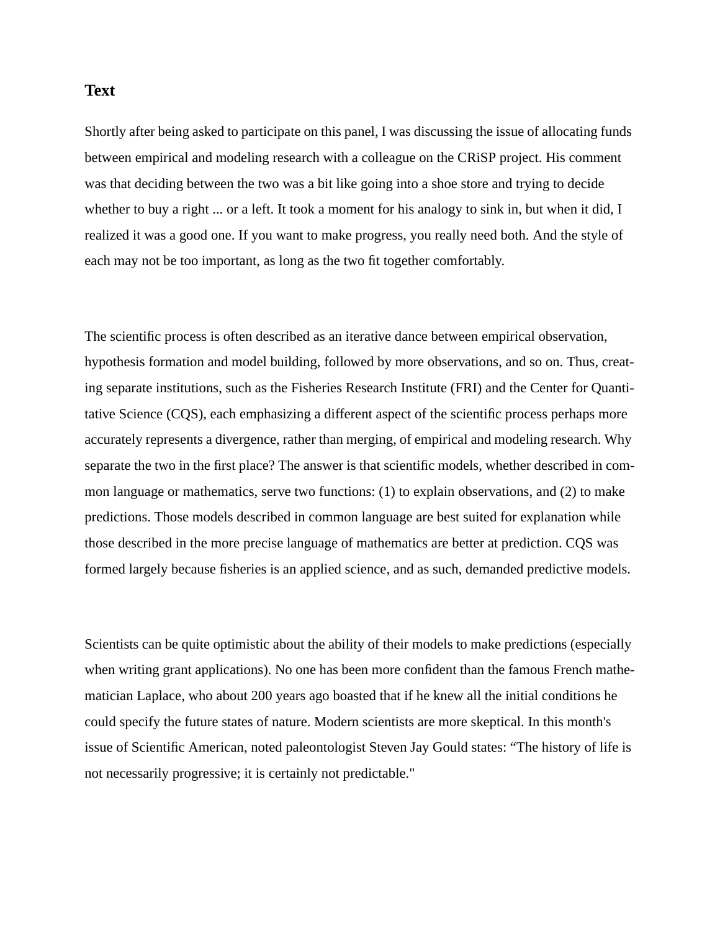## **Text**

Shortly after being asked to participate on this panel, I was discussing the issue of allocating funds between empirical and modeling research with a colleague on the CRiSP project. His comment was that deciding between the two was a bit like going into a shoe store and trying to decide whether to buy a right ... or a left. It took a moment for his analogy to sink in, but when it did, I realized it was a good one. If you want to make progress, you really need both. And the style of each may not be too important, as long as the two fit together comfortably.

The scientific process is often described as an iterative dance between empirical observation, hypothesis formation and model building, followed by more observations, and so on. Thus, creating separate institutions, such as the Fisheries Research Institute (FRI) and the Center for Quantitative Science (CQS), each emphasizing a different aspect of the scientific process perhaps more accurately represents a divergence, rather than merging, of empirical and modeling research. Why separate the two in the first place? The answer is that scientific models, whether described in common language or mathematics, serve two functions: (1) to explain observations, and (2) to make predictions. Those models described in common language are best suited for explanation while those described in the more precise language of mathematics are better at prediction. CQS was formed largely because fisheries is an applied science, and as such, demanded predictive models.

Scientists can be quite optimistic about the ability of their models to make predictions (especially when writing grant applications). No one has been more confident than the famous French mathematician Laplace, who about 200 years ago boasted that if he knew all the initial conditions he could specify the future states of nature. Modern scientists are more skeptical. In this month's issue of Scientific American, noted paleontologist Steven Jay Gould states: "The history of life is not necessarily progressive; it is certainly not predictable."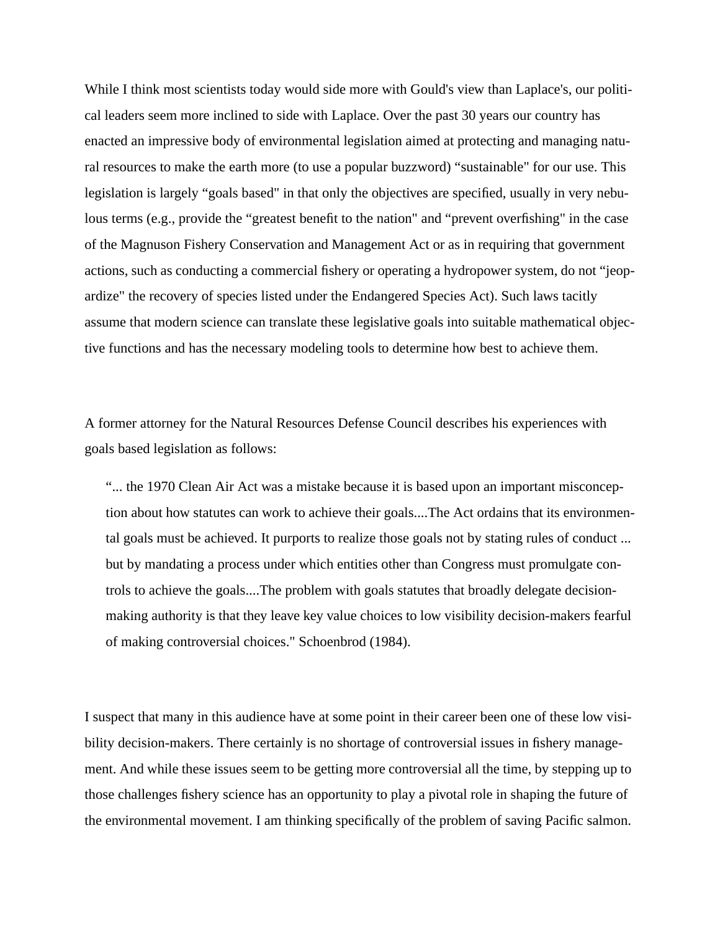While I think most scientists today would side more with Gould's view than Laplace's, our political leaders seem more inclined to side with Laplace. Over the past 30 years our country has enacted an impressive body of environmental legislation aimed at protecting and managing natural resources to make the earth more (to use a popular buzzword) "sustainable" for our use. This legislation is largely "goals based" in that only the objectives are specified, usually in very nebulous terms (e.g., provide the "greatest benefit to the nation" and "prevent overfishing" in the case of the Magnuson Fishery Conservation and Management Act or as in requiring that government actions, such as conducting a commercial fishery or operating a hydropower system, do not "jeopardize" the recovery of species listed under the Endangered Species Act). Such laws tacitly assume that modern science can translate these legislative goals into suitable mathematical objective functions and has the necessary modeling tools to determine how best to achieve them.

A former attorney for the Natural Resources Defense Council describes his experiences with goals based legislation as follows:

"... the 1970 Clean Air Act was a mistake because it is based upon an important misconception about how statutes can work to achieve their goals....The Act ordains that its environmental goals must be achieved. It purports to realize those goals not by stating rules of conduct ... but by mandating a process under which entities other than Congress must promulgate controls to achieve the goals....The problem with goals statutes that broadly delegate decisionmaking authority is that they leave key value choices to low visibility decision-makers fearful of making controversial choices." Schoenbrod (1984).

I suspect that many in this audience have at some point in their career been one of these low visibility decision-makers. There certainly is no shortage of controversial issues in fishery management. And while these issues seem to be getting more controversial all the time, by stepping up to those challenges fishery science has an opportunity to play a pivotal role in shaping the future of the environmental movement. I am thinking specifically of the problem of saving Pacific salmon.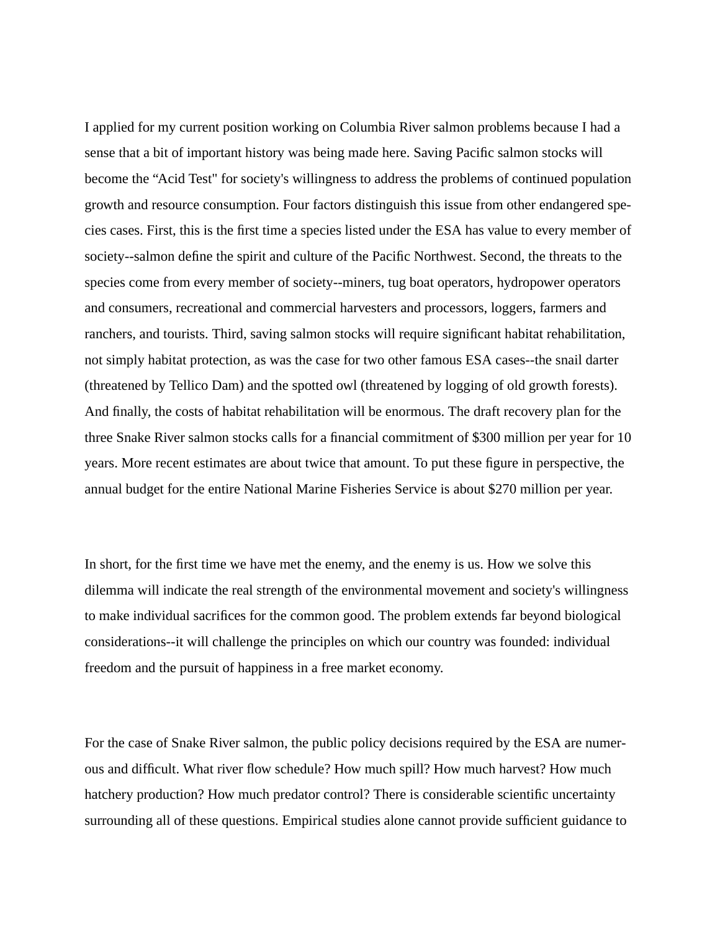I applied for my current position working on Columbia River salmon problems because I had a sense that a bit of important history was being made here. Saving Pacific salmon stocks will become the "Acid Test" for society's willingness to address the problems of continued population growth and resource consumption. Four factors distinguish this issue from other endangered species cases. First, this is the first time a species listed under the ESA has value to every member of society--salmon define the spirit and culture of the Pacific Northwest. Second, the threats to the species come from every member of society--miners, tug boat operators, hydropower operators and consumers, recreational and commercial harvesters and processors, loggers, farmers and ranchers, and tourists. Third, saving salmon stocks will require significant habitat rehabilitation, not simply habitat protection, as was the case for two other famous ESA cases--the snail darter (threatened by Tellico Dam) and the spotted owl (threatened by logging of old growth forests). And finally, the costs of habitat rehabilitation will be enormous. The draft recovery plan for the three Snake River salmon stocks calls for a financial commitment of \$300 million per year for 10 years. More recent estimates are about twice that amount. To put these figure in perspective, the annual budget for the entire National Marine Fisheries Service is about \$270 million per year.

In short, for the first time we have met the enemy, and the enemy is us. How we solve this dilemma will indicate the real strength of the environmental movement and society's willingness to make individual sacrifices for the common good. The problem extends far beyond biological considerations--it will challenge the principles on which our country was founded: individual freedom and the pursuit of happiness in a free market economy.

For the case of Snake River salmon, the public policy decisions required by the ESA are numerous and difficult. What river flow schedule? How much spill? How much harvest? How much hatchery production? How much predator control? There is considerable scientific uncertainty surrounding all of these questions. Empirical studies alone cannot provide sufficient guidance to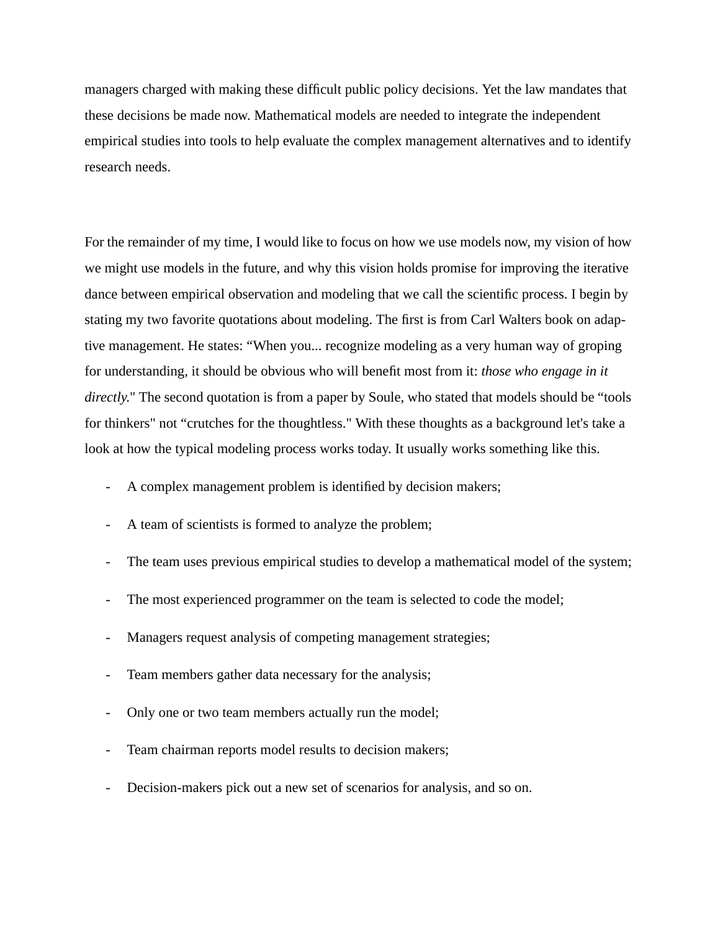managers charged with making these difficult public policy decisions. Yet the law mandates that these decisions be made now. Mathematical models are needed to integrate the independent empirical studies into tools to help evaluate the complex management alternatives and to identify research needs.

For the remainder of my time, I would like to focus on how we use models now, my vision of how we might use models in the future, and why this vision holds promise for improving the iterative dance between empirical observation and modeling that we call the scientific process. I begin by stating my two favorite quotations about modeling. The first is from Carl Walters book on adaptive management. He states: "When you... recognize modeling as a very human way of groping for understanding, it should be obvious who will benefit most from it: *those who engage in it directly*." The second quotation is from a paper by Soule, who stated that models should be "tools for thinkers" not "crutches for the thoughtless." With these thoughts as a background let's take a look at how the typical modeling process works today. It usually works something like this.

- A complex management problem is identified by decision makers;
- A team of scientists is formed to analyze the problem;
- The team uses previous empirical studies to develop a mathematical model of the system;
- The most experienced programmer on the team is selected to code the model;
- Managers request analysis of competing management strategies;
- Team members gather data necessary for the analysis;
- Only one or two team members actually run the model;
- Team chairman reports model results to decision makers;
- Decision-makers pick out a new set of scenarios for analysis, and so on.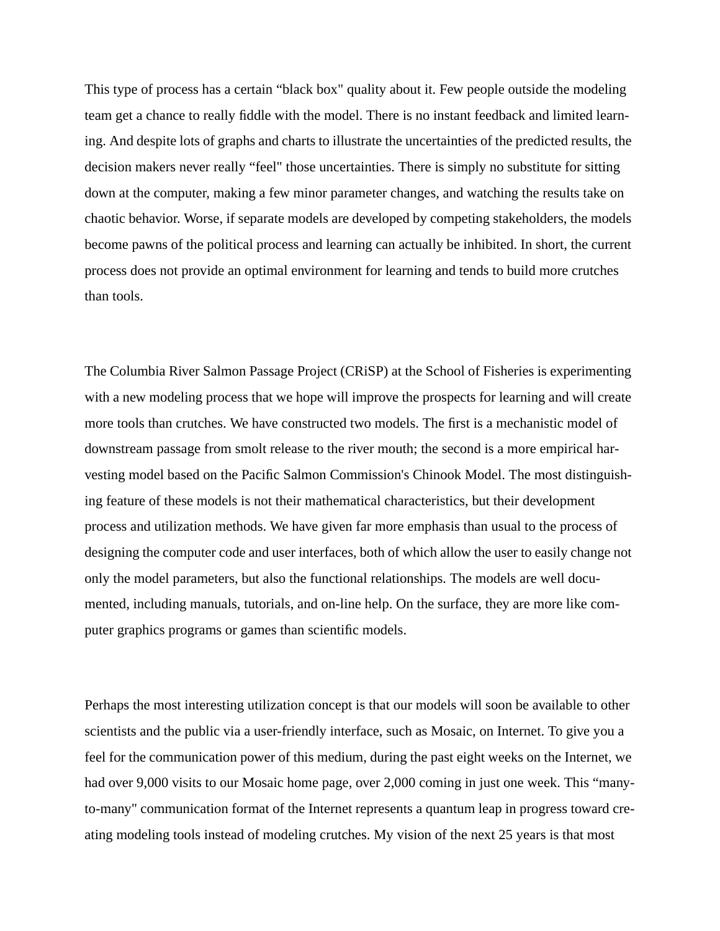This type of process has a certain "black box" quality about it. Few people outside the modeling team get a chance to really fiddle with the model. There is no instant feedback and limited learning. And despite lots of graphs and charts to illustrate the uncertainties of the predicted results, the decision makers never really "feel" those uncertainties. There is simply no substitute for sitting down at the computer, making a few minor parameter changes, and watching the results take on chaotic behavior. Worse, if separate models are developed by competing stakeholders, the models become pawns of the political process and learning can actually be inhibited. In short, the current process does not provide an optimal environment for learning and tends to build more crutches than tools.

The Columbia River Salmon Passage Project (CRiSP) at the School of Fisheries is experimenting with a new modeling process that we hope will improve the prospects for learning and will create more tools than crutches. We have constructed two models. The first is a mechanistic model of downstream passage from smolt release to the river mouth; the second is a more empirical harvesting model based on the Pacific Salmon Commission's Chinook Model. The most distinguishing feature of these models is not their mathematical characteristics, but their development process and utilization methods. We have given far more emphasis than usual to the process of designing the computer code and user interfaces, both of which allow the user to easily change not only the model parameters, but also the functional relationships. The models are well documented, including manuals, tutorials, and on-line help. On the surface, they are more like computer graphics programs or games than scientific models.

Perhaps the most interesting utilization concept is that our models will soon be available to other scientists and the public via a user-friendly interface, such as Mosaic, on Internet. To give you a feel for the communication power of this medium, during the past eight weeks on the Internet, we had over 9,000 visits to our Mosaic home page, over 2,000 coming in just one week. This "manyto-many" communication format of the Internet represents a quantum leap in progress toward creating modeling tools instead of modeling crutches. My vision of the next 25 years is that most